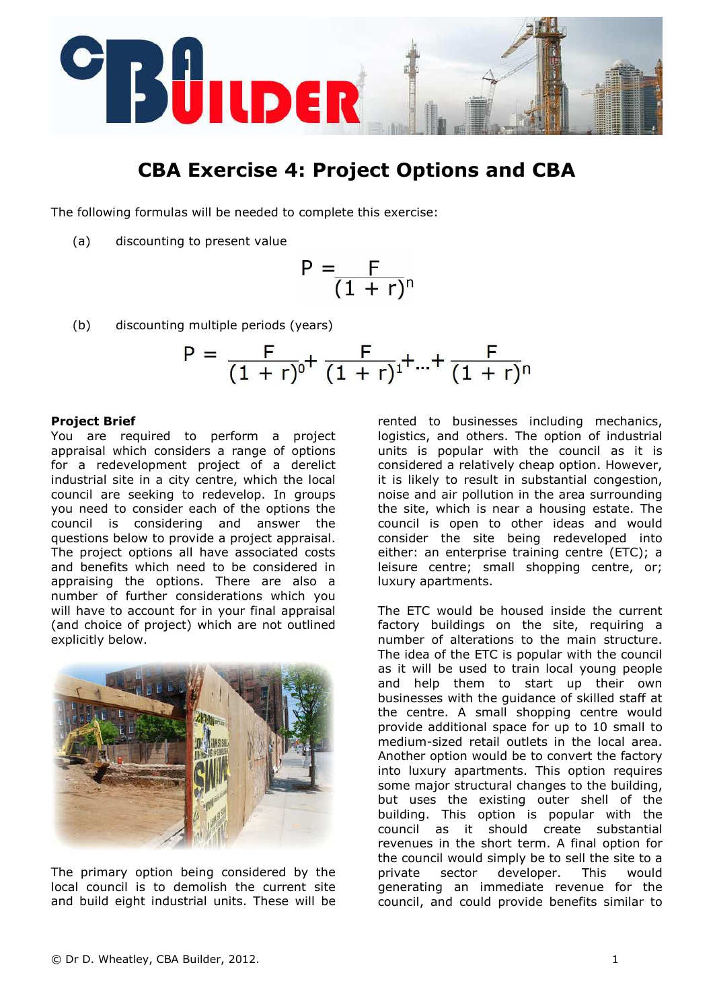

# CBA Exercise 4: Project Options and CBA

The following formulas will be needed to complete this exercise:

(a) discounting to present value

$$
P=\frac{F}{(1+r)^n}
$$

(b) discounting multiple periods (years)

$$
P = \frac{F}{(1+r)^0} + \frac{F}{(1+r)^1} + ... + \frac{F}{(1+r)^n}
$$

#### Project Brief

You are required to perform a project appraisal which considers a range of options for a redevelopment project of a derelict industrial site in a city centre, which the local council are seeking to redevelop. In groups you need to consider each of the options the council is considering and answer the questions below to provide a project appraisal. The project options all have associated costs and benefits which need to be considered in appraising the options. There are also a number of further considerations which you will have to account for in your final appraisal (and choice of project) which are not outlined explicitly below.



The primary option being considered by the local council is to demolish the current site and build eight industrial units. These will be rented to businesses including mechanics, logistics, and others. The option of industrial units is popular with the council as it is considered a relatively cheap option. However, it is likely to result in substantial congestion, noise and air pollution in the area surrounding the site, which is near a housing estate. The council is open to other ideas and would consider the site being redeveloped into either: an enterprise training centre (ETC); a leisure centre; small shopping centre, or; luxury apartments.

The ETC would be housed inside the current factory buildings on the site, requiring a number of alterations to the main structure. The idea of the ETC is popular with the council as it will be used to train local young people and help them to start up their own businesses with the guidance of skilled staff at the centre. A small shopping centre would provide additional space for up to 10 small to medium-sized retail outlets in the local area. Another option would be to convert the factory into luxury apartments. This option requires some major structural changes to the building, but uses the existing outer shell of the building. This option is popular with the council as it should create substantial revenues in the short term. A final option for the council would simply be to sell the site to a private sector developer. This would generating an immediate revenue for the council, and could provide benefits similar to